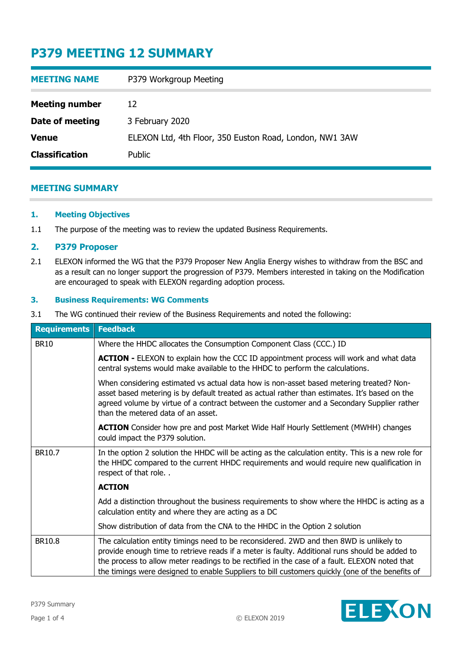# **P379 MEETING 12 SUMMARY**

| <b>MEETING NAME</b>   | P379 Workgroup Meeting                                  |
|-----------------------|---------------------------------------------------------|
| <b>Meeting number</b> | 12                                                      |
| Date of meeting       | 3 February 2020                                         |
| <b>Venue</b>          | ELEXON Ltd, 4th Floor, 350 Euston Road, London, NW1 3AW |
| <b>Classification</b> | Public                                                  |

### **MEETING SUMMARY**

### **1. Meeting Objectives**

1.1 The purpose of the meeting was to review the updated Business Requirements.

### **2. P379 Proposer**

2.1 ELEXON informed the WG that the P379 Proposer New Anglia Energy wishes to withdraw from the BSC and as a result can no longer support the progression of P379. Members interested in taking on the Modification are encouraged to speak with ELEXON regarding adoption process.

### **3. Business Requirements: WG Comments**

3.1 The WG continued their review of the Business Requirements and noted the following:

| <b>Requirements</b> | <b>Feedback</b>                                                                                                                                                                                                                                                                                                                                                                               |
|---------------------|-----------------------------------------------------------------------------------------------------------------------------------------------------------------------------------------------------------------------------------------------------------------------------------------------------------------------------------------------------------------------------------------------|
| <b>BR10</b>         | Where the HHDC allocates the Consumption Component Class (CCC.) ID                                                                                                                                                                                                                                                                                                                            |
|                     | <b>ACTION</b> - ELEXON to explain how the CCC ID appointment process will work and what data<br>central systems would make available to the HHDC to perform the calculations.                                                                                                                                                                                                                 |
|                     | When considering estimated vs actual data how is non-asset based metering treated? Non-<br>asset based metering is by default treated as actual rather than estimates. It's based on the<br>agreed volume by virtue of a contract between the customer and a Secondary Supplier rather<br>than the metered data of an asset.                                                                  |
|                     | <b>ACTION</b> Consider how pre and post Market Wide Half Hourly Settlement (MWHH) changes<br>could impact the P379 solution.                                                                                                                                                                                                                                                                  |
| BR10.7              | In the option 2 solution the HHDC will be acting as the calculation entity. This is a new role for<br>the HHDC compared to the current HHDC requirements and would require new qualification in<br>respect of that role. .                                                                                                                                                                    |
|                     | <b>ACTION</b>                                                                                                                                                                                                                                                                                                                                                                                 |
|                     | Add a distinction throughout the business requirements to show where the HHDC is acting as a<br>calculation entity and where they are acting as a DC                                                                                                                                                                                                                                          |
|                     | Show distribution of data from the CNA to the HHDC in the Option 2 solution                                                                                                                                                                                                                                                                                                                   |
| BR10.8              | The calculation entity timings need to be reconsidered. 2WD and then 8WD is unlikely to<br>provide enough time to retrieve reads if a meter is faulty. Additional runs should be added to<br>the process to allow meter readings to be rectified in the case of a fault. ELEXON noted that<br>the timings were designed to enable Suppliers to bill customers quickly (one of the benefits of |

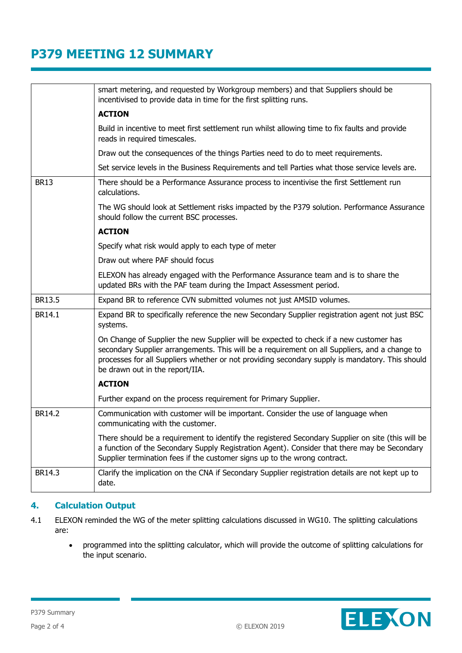# **P379 MEETING 12 SUMMARY**

|             | smart metering, and requested by Workgroup members) and that Suppliers should be<br>incentivised to provide data in time for the first splitting runs.                                                                                                                                                                        |
|-------------|-------------------------------------------------------------------------------------------------------------------------------------------------------------------------------------------------------------------------------------------------------------------------------------------------------------------------------|
|             | <b>ACTION</b>                                                                                                                                                                                                                                                                                                                 |
|             | Build in incentive to meet first settlement run whilst allowing time to fix faults and provide<br>reads in required timescales.                                                                                                                                                                                               |
|             | Draw out the consequences of the things Parties need to do to meet requirements.                                                                                                                                                                                                                                              |
|             | Set service levels in the Business Requirements and tell Parties what those service levels are.                                                                                                                                                                                                                               |
| <b>BR13</b> | There should be a Performance Assurance process to incentivise the first Settlement run<br>calculations.                                                                                                                                                                                                                      |
|             | The WG should look at Settlement risks impacted by the P379 solution. Performance Assurance<br>should follow the current BSC processes.                                                                                                                                                                                       |
|             | <b>ACTION</b>                                                                                                                                                                                                                                                                                                                 |
|             | Specify what risk would apply to each type of meter                                                                                                                                                                                                                                                                           |
|             | Draw out where PAF should focus                                                                                                                                                                                                                                                                                               |
|             | ELEXON has already engaged with the Performance Assurance team and is to share the<br>updated BRs with the PAF team during the Impact Assessment period.                                                                                                                                                                      |
| BR13.5      | Expand BR to reference CVN submitted volumes not just AMSID volumes.                                                                                                                                                                                                                                                          |
| BR14.1      | Expand BR to specifically reference the new Secondary Supplier registration agent not just BSC<br>systems.                                                                                                                                                                                                                    |
|             | On Change of Supplier the new Supplier will be expected to check if a new customer has<br>secondary Supplier arrangements. This will be a requirement on all Suppliers, and a change to<br>processes for all Suppliers whether or not providing secondary supply is mandatory. This should<br>be drawn out in the report/IIA. |
|             | <b>ACTION</b>                                                                                                                                                                                                                                                                                                                 |
|             | Further expand on the process requirement for Primary Supplier.                                                                                                                                                                                                                                                               |
| BR14.2      | Communication with customer will be important. Consider the use of language when<br>communicating with the customer.                                                                                                                                                                                                          |
|             | There should be a requirement to identify the registered Secondary Supplier on site (this will be<br>a function of the Secondary Supply Registration Agent). Consider that there may be Secondary<br>Supplier termination fees if the customer signs up to the wrong contract.                                                |
| BR14.3      | Clarify the implication on the CNA if Secondary Supplier registration details are not kept up to<br>date.                                                                                                                                                                                                                     |

## **4. Calculation Output**

- 4.1 ELEXON reminded the WG of the meter splitting calculations discussed in WG10. The splitting calculations are:
	- programmed into the splitting calculator, which will provide the outcome of splitting calculations for the input scenario.

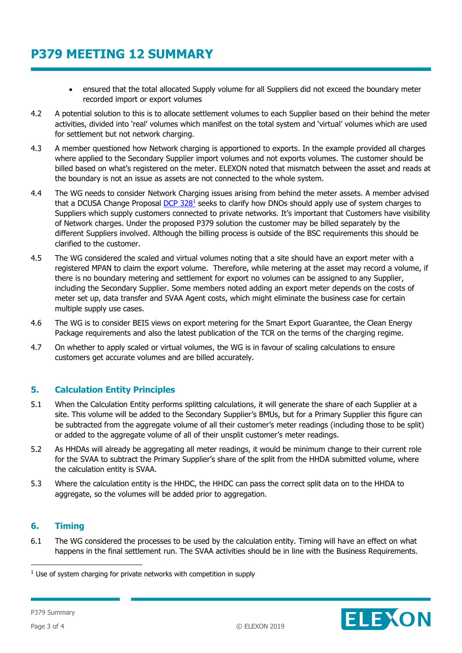# **P379 MEETING 12 SUMMARY**

- ensured that the total allocated Supply volume for all Suppliers did not exceed the boundary meter recorded import or export volumes
- 4.2 A potential solution to this is to allocate settlement volumes to each Supplier based on their behind the meter activities, divided into 'real' volumes which manifest on the total system and 'virtual' volumes which are used for settlement but not network charging.
- 4.3 A member questioned how Network charging is apportioned to exports. In the example provided all charges where applied to the Secondary Supplier import volumes and not exports volumes. The customer should be billed based on what's registered on the meter. ELEXON noted that mismatch between the asset and reads at the boundary is not an issue as assets are not connected to the whole system.
- 4.4 The WG needs to consider Network Charging issues arising from behind the meter assets. A member advised that a DCUSA Change Proposal <u>DCP 328<sup>1</sup></u> seeks to clarify how DNOs should apply use of system charges to Suppliers which supply customers connected to private networks. It's important that Customers have visibility of Network charges. Under the proposed P379 solution the customer may be billed separately by the different Suppliers involved. Although the billing process is outside of the BSC requirements this should be clarified to the customer.
- 4.5 The WG considered the scaled and virtual volumes noting that a site should have an export meter with a registered MPAN to claim the export volume. Therefore, while metering at the asset may record a volume, if there is no boundary metering and settlement for export no volumes can be assigned to any Supplier, including the Secondary Supplier. Some members noted adding an export meter depends on the costs of meter set up, data transfer and SVAA Agent costs, which might eliminate the business case for certain multiple supply use cases.
- 4.6 The WG is to consider BEIS views on export metering for the Smart Export Guarantee, the Clean Energy Package requirements and also the latest publication of the TCR on the terms of the charging regime.
- 4.7 On whether to apply scaled or virtual volumes, the WG is in favour of scaling calculations to ensure customers get accurate volumes and are billed accurately.

### **5. Calculation Entity Principles**

- 5.1 When the Calculation Entity performs splitting calculations, it will generate the share of each Supplier at a site. This volume will be added to the Secondary Supplier's BMUs, but for a Primary Supplier this figure can be subtracted from the aggregate volume of all their customer's meter readings (including those to be split) or added to the aggregate volume of all of their unsplit customer's meter readings.
- 5.2 As HHDAs will already be aggregating all meter readings, it would be minimum change to their current role for the SVAA to subtract the Primary Supplier's share of the split from the HHDA submitted volume, where the calculation entity is SVAA.
- 5.3 Where the calculation entity is the HHDC, the HHDC can pass the correct split data on to the HHDA to aggregate, so the volumes will be added prior to aggregation.

### **6. Timing**

6.1 The WG considered the processes to be used by the calculation entity. Timing will have an effect on what happens in the final settlement run. The SVAA activities should be in line with the Business Requirements.

ELEXON

-

 $1$  Use of system charging for private networks with competition in supply